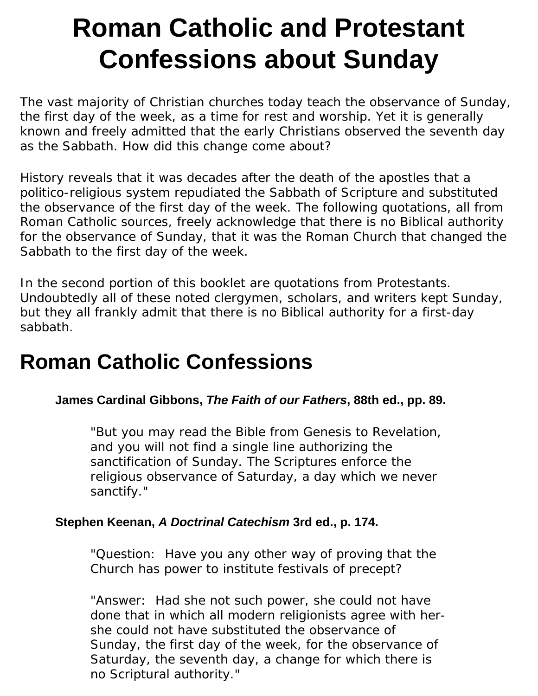# **Roman Catholic and Protestant Confessions about Sunday**

The vast majority of Christian churches today teach the observance of Sunday, the first day of the week, as a time for rest and worship. Yet it is generally known and freely admitted that the early Christians observed the seventh day as the Sabbath. How did this change come about?

History reveals that it was decades after the death of the apostles that a politico-religious system repudiated the Sabbath of Scripture and substituted the observance of the first day of the week. The following quotations, all from Roman Catholic sources, freely acknowledge that there is no Biblical authority for the observance of Sunday, that it was the Roman Church that changed the Sabbath to the first day of the week.

In the second portion of this booklet are quotations from Protestants. Undoubtedly all of these noted clergymen, scholars, and writers kept Sunday, but they all frankly admit that there is no Biblical authority for a first-day sabbath.

## **Roman Catholic Confessions**

**James Cardinal Gibbons, The Faith of our Fathers, 88th ed., pp. 89.**

"But you may read the Bible from Genesis to Revelation, and you will not find a single line authorizing the sanctification of Sunday. The Scriptures enforce the religious observance of Saturday, a day which we never sanctify."

## **Stephen Keenan, A Doctrinal Catechism 3rd ed., p. 174.**

"Question: Have you any other way of proving that the Church has power to institute festivals of precept?

"Answer: Had she not such power, she could not have done that in which all modern religionists agree with hershe could not have substituted the observance of Sunday, the first day of the week, for the observance of Saturday, the seventh day, a change for which there is no Scriptural authority."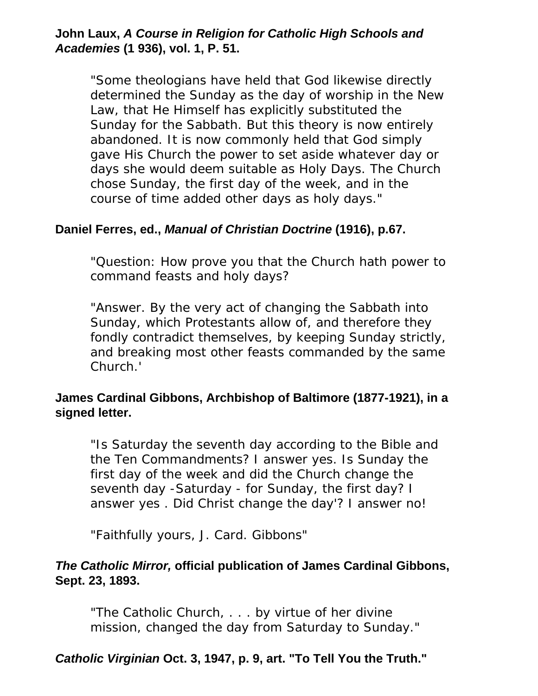## **John Laux, A Course in Religion for Catholic High Schools and Academies (1 936), vol. 1, P. 51.**

"Some theologians have held that God likewise directly determined the Sunday as the day of worship in the New Law, that He Himself has explicitly substituted the Sunday for the Sabbath. But this theory is now entirely abandoned. It is now commonly held that God simply gave His Church the power to set aside whatever day or days she would deem suitable as Holy Days. The Church chose Sunday, the first day of the week, and in the course of time added other days as holy days."

## **Daniel Ferres, ed., Manual of Christian Doctrine (1916), p.67.**

"Question: How prove you that the Church hath power to command feasts and holy days?

"Answer. By the very act of changing the Sabbath into Sunday, which Protestants allow of, and therefore they fondly contradict themselves, by keeping Sunday strictly, and breaking most other feasts commanded by the same Church.'

## **James Cardinal Gibbons, Archbishop of Baltimore (1877-1921), in a signed letter.**

"Is Saturday the seventh day according to the Bible and the Ten Commandments? I answer yes. Is Sunday the first day of the week and did the Church change the seventh day -Saturday - for Sunday, the first day? I answer *yes* . Did Christ change the day'? I answer *no!*

"Faithfully yours, J. Card. Gibbons"

## **The Catholic Mirror, official publication of James Cardinal Gibbons, Sept. 23, 1893.**

"The Catholic Church, . . . by virtue of her divine mission, changed the day from Saturday to Sunday."

**Catholic Virginian Oct. 3, 1947, p. 9, art. "To Tell You the Truth."**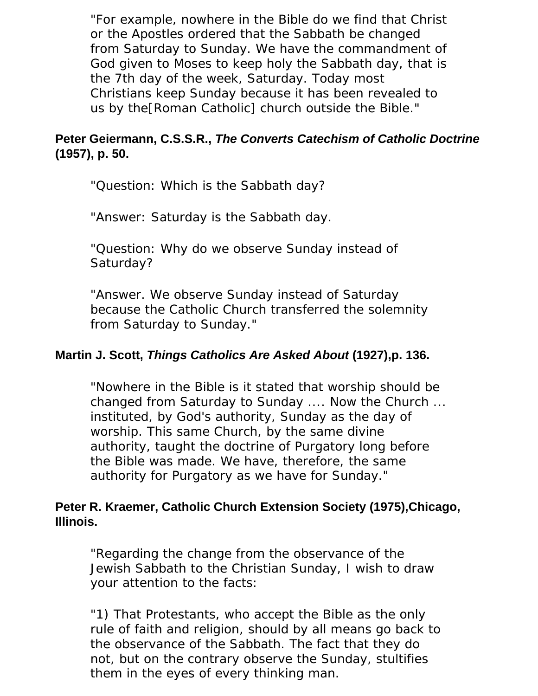"For example, nowhere in the Bible do we find that Christ or the Apostles ordered that the Sabbath be changed from Saturday to Sunday. We have the commandment of God given to Moses to keep holy the Sabbath day, that is the 7th day of the week, Saturday. Today most Christians keep Sunday because it has been revealed to us by the[Roman Catholic] church outside the Bible."

## **Peter Geiermann, C.S.S.R., The Converts Catechism of Catholic Doctrine (1957), p. 50.**

"Question: Which is the Sabbath day?

"Answer: Saturday is the Sabbath day.

"Question: Why do we observe Sunday instead of Saturday?

"Answer. We observe Sunday instead of Saturday because the Catholic Church transferred the solemnity from Saturday to Sunday."

## **Martin J. Scott, Things Catholics Are Asked About (1927),p. 136.**

"Nowhere in the Bible is it stated that worship should be changed from Saturday to Sunday .... Now the Church ... instituted, by God's authority, Sunday as the day of worship. This same Church, by the same divine authority, taught the doctrine of Purgatory long before the Bible was made. We have, therefore, the same authority for Purgatory as we have for Sunday."

## **Peter R. Kraemer, Catholic Church Extension Society (1975),Chicago, Illinois.**

"Regarding the change from the observance of the Jewish Sabbath to the Christian Sunday, I wish to draw your attention to the facts:

"1) That Protestants, who accept the Bible as the only rule of faith and religion, should by all means go back to the observance of the Sabbath. The fact that they do not, but on the contrary observe the Sunday, stultifies them in the eyes of every thinking man.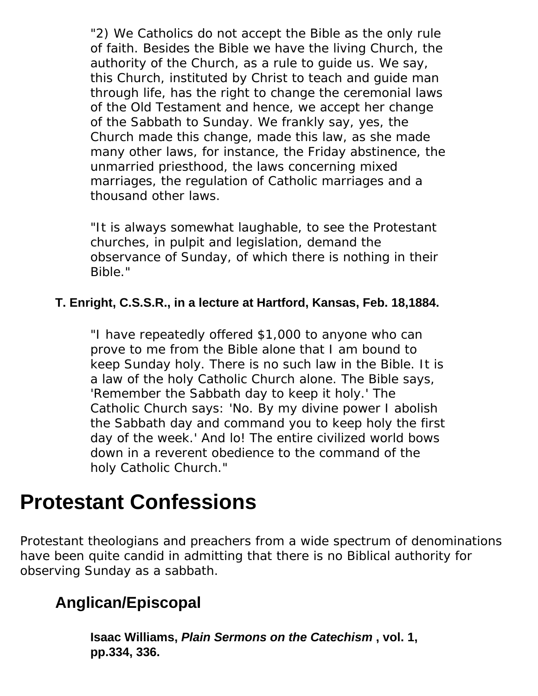"2) We Catholics do not accept the Bible as the only rule of faith. Besides the Bible we have the living Church, the authority of the Church, as a rule to guide us. We say, this Church, instituted by Christ to teach and guide man through life, has the right to change the ceremonial laws of the Old Testament and hence, we accept her change of the Sabbath to Sunday. We frankly say, yes, the Church made this change, made this law, as she made many other laws, for instance, the Friday abstinence, the unmarried priesthood, the laws concerning mixed marriages, the regulation of Catholic marriages and a thousand other laws.

"It is always somewhat laughable, to see the Protestant churches, in pulpit and legislation, demand the observance of Sunday, of which there is nothing in their Bible."

## **T. Enright, C.S.S.R., in a lecture at Hartford, Kansas, Feb. 18,1884.**

"I have repeatedly offered \$1,000 to anyone who can prove to me from the Bible alone that I am bound to keep Sunday holy. There is no such law in the Bible. It is a law of the holy Catholic Church alone. The Bible says, 'Remember the Sabbath day to keep it holy.' The Catholic Church says: 'No. By my divine power I abolish the Sabbath day and command you to keep holy the first day of the week.' And lo! The entire civilized world bows down in a reverent obedience to the command of the holy Catholic Church."

## **Protestant Confessions**

Protestant theologians and preachers from a wide spectrum of denominations have been quite candid in admitting that there is no Biblical authority for observing Sunday as a sabbath.

## **Anglican/Episcopal**

**Isaac Williams, Plain Sermons on the Catechism , vol. 1, pp.334, 336.**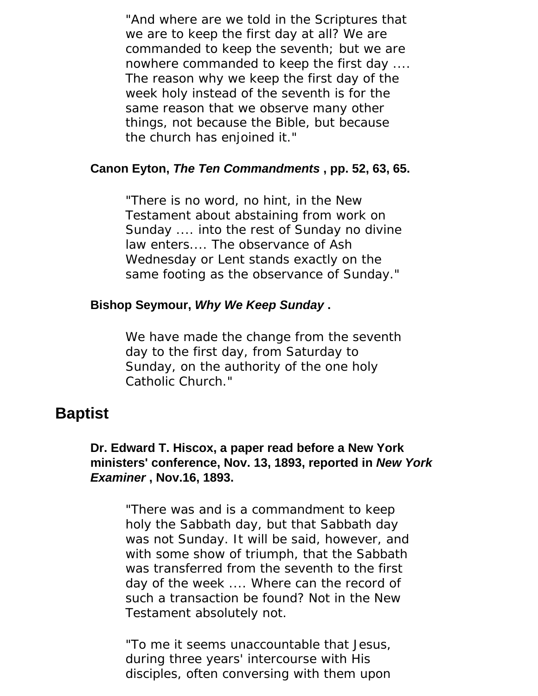"And where are we told in the Scriptures that we are to keep the first day at all? We are commanded to keep the seventh; but we are nowhere commanded to keep the first day .... The reason why we keep the first day of the week holy instead of the seventh is for the same reason that we observe many other things, not because the Bible, but because the church has enjoined it."

#### **Canon Eyton, The Ten Commandments , pp. 52, 63, 65.**

"There is no word, no hint, in the New Testament about abstaining from work on Sunday .... into the rest of Sunday no divine law enters.... The observance of Ash Wednesday or Lent stands exactly on the same footing as the observance of Sunday."

#### **Bishop Seymour, Why We Keep Sunday .**

We have made the change from the seventh day to the first day, from Saturday to Sunday, on the authority of the one holy Catholic Church."

## **Baptist**

## **Dr. Edward T. Hiscox, a paper read before a New York ministers' conference, Nov. 13, 1893, reported in New York Examiner , Nov.16, 1893.**

"There was and is a commandment to keep holy the Sabbath day, but that Sabbath day was not Sunday. It will be said, however, and with some show of triumph, that the Sabbath was transferred from the seventh to the first day of the week .... Where can the record of such a transaction be found? Not in the New Testament absolutely not.

"To me it seems unaccountable that Jesus, during three years' intercourse with His disciples, often conversing with them upon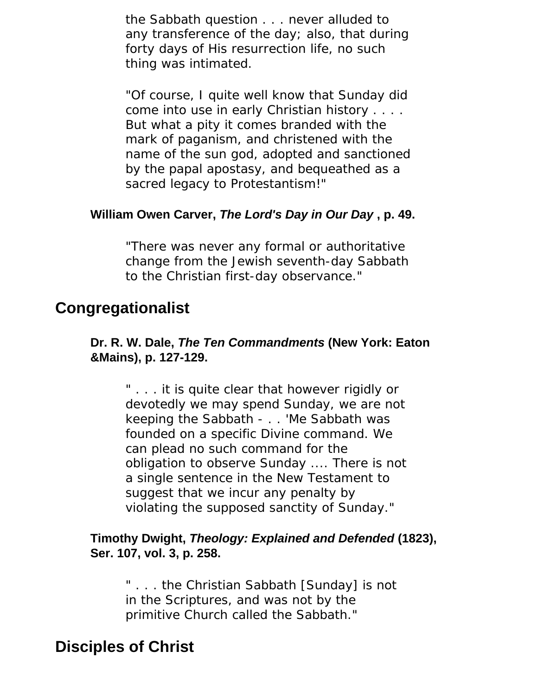the Sabbath question . . . never alluded to any transference of the day; also, that during forty days of His resurrection life, no such thing was intimated.

"Of course, I quite well know that Sunday did come into use in early Christian history . . . . But what a pity it comes branded with the mark of paganism, and christened with the name of the sun god, adopted and sanctioned by the papal apostasy, and bequeathed as a sacred legacy to Protestantism!"

#### **William Owen Carver, The Lord's Day in Our Day , p. 49.**

"There was never any formal or authoritative change from the Jewish seventh-day Sabbath to the Christian first-day observance."

## **Congregationalist**

## **Dr. R. W. Dale, The Ten Commandments (New York: Eaton &Mains), p. 127-129.**

" . . . it is quite clear that however rigidly or devotedly we may spend Sunday, we are not keeping the Sabbath - . . 'Me Sabbath was founded on a specific Divine command. We can plead no such command for the obligation to observe Sunday .... There is not a single sentence in the New Testament to suggest that we incur any penalty by violating the supposed sanctity of Sunday."

## **Timothy Dwight, Theology: Explained and Defended (1823), Ser. 107, vol. 3, p. 258.**

" . . . the Christian Sabbath [Sunday] is not in the Scriptures, and was not by the primitive Church called the Sabbath."

## **Disciples of Christ**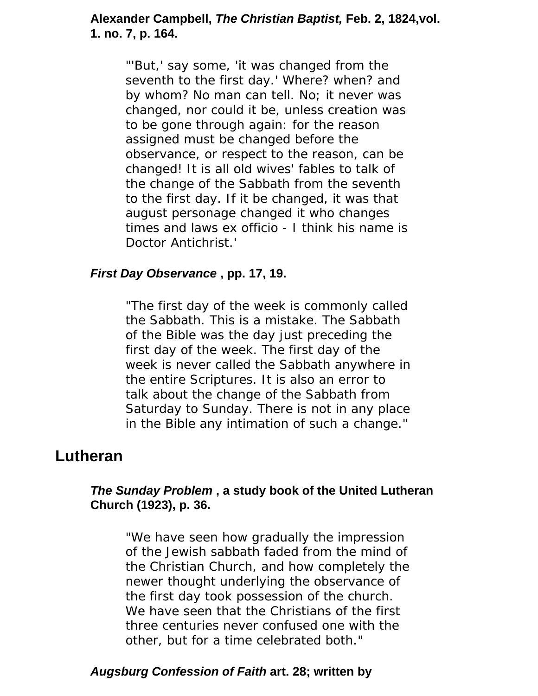**Alexander Campbell, The Christian Baptist, Feb. 2, 1824,vol. 1. no. 7, p. 164.**

> "'But,' say some, 'it was changed from the seventh to the first day.' Where? when? and by whom? No man can tell. No; it never was changed, nor could it be, unless creation was to be gone through again: for the reason assigned must be changed before the observance, or respect to the reason, can be changed! It is all old wives' fables to talk of the change of the Sabbath from the seventh to the first day. If it be changed, it was that august personage changed it who changes times and laws *ex officio -* I think his name is Doctor Antichrist.'

### **First Day Observance , pp. 17, 19.**

"The first day of the week is commonly called the Sabbath. This is a mistake. The Sabbath of the Bible was the day just preceding the first day of the week. The first day of the week is never called the Sabbath anywhere in the entire Scriptures. It is also an error to talk about the change of the Sabbath from Saturday to Sunday. There is not in any place in the Bible any intimation of such a change."

## **Lutheran**

## **The Sunday Problem , a study book of the United Lutheran Church (1923), p. 36.**

"We have seen how gradually the impression of the Jewish sabbath faded from the mind of the Christian Church, and how completely the newer thought underlying the observance of the first day took possession of the church. We have seen that the Christians of the first three centuries never confused one with the other, but for a time celebrated both."

#### **Augsburg Confession of Faith art. 28; written by**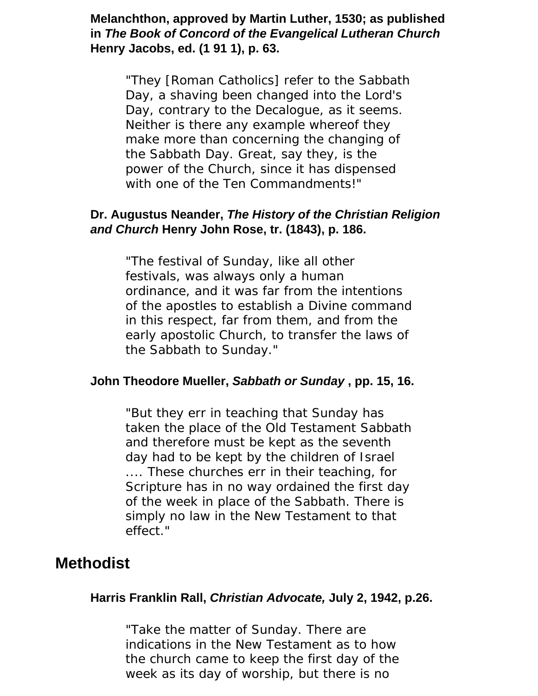**Melanchthon, approved by Martin Luther, 1530; as published in The Book of Concord of the Evangelical Lutheran Church Henry Jacobs, ed. (1 91 1), p. 63.**

"They [Roman Catholics] refer to the Sabbath Day, a shaving been changed into the Lord's Day, contrary to the Decalogue, as it seems. Neither is there any example whereof they make more than concerning the changing of the Sabbath Day. Great, say they, is the power of the Church, since it has dispensed with one of the Ten Commandments!"

## **Dr. Augustus Neander, The History of the Christian Religion and Church Henry John Rose, tr. (1843), p. 186.**

"The festival of Sunday, like all other festivals, was always only a human ordinance, and it was far from the intentions of the apostles to establish a Divine command in this respect, far from them, and from the early apostolic Church, to transfer the laws of the Sabbath to Sunday."

#### **John Theodore Mueller, Sabbath or Sunday , pp. 15, 16.**

"But they err in teaching that Sunday has taken the place of the Old Testament Sabbath and therefore must be kept as the seventh day had to be kept by the children of Israel .... These churches err in their teaching, for Scripture has in no way ordained the first day of the week in place of the Sabbath. There is simply no law in the New Testament to that effect."

## **Methodist**

#### **Harris Franklin Rall, Christian Advocate, July 2, 1942, p.26.**

"Take the matter of Sunday. There are indications in the New Testament as to how the church came to keep the first day of the week as its day of worship, but there is no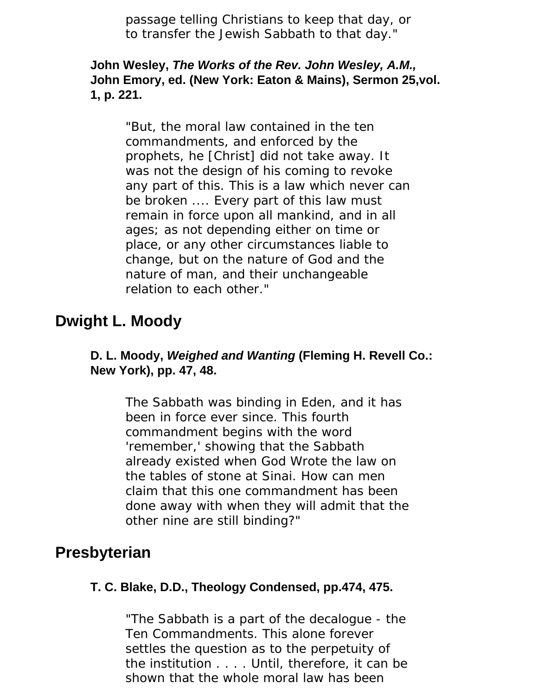passage telling Christians to keep that day, or to transfer the Jewish Sabbath to that day."

**John Wesley, The Works of the Rev. John Wesley, A.M., John Emory, ed. (New York: Eaton & Mains), Sermon 25,vol. 1, p. 221.**

> "But, the moral law contained in the ten commandments, and enforced by the prophets, he [Christ] did not take away. It was not the design of his coming to revoke any part of this. This is a law which never can be broken .... Every part of this law must remain in force upon all mankind, and in all ages; as not depending either on time or place, or any other circumstances liable to change, but on the nature of God and the nature of man, and their unchangeable relation to each other."

## **Dwight L. Moody**

## **D. L. Moody, Weighed and Wanting (Fleming H. Revell Co.: New York), pp. 47, 48.**

The Sabbath was binding in Eden, and it has been in force ever since. This fourth commandment begins with the word 'remember,' showing that the Sabbath already existed when God Wrote the law on the tables of stone at Sinai. How can men claim that this one commandment has been done away with when they will admit that the other nine are still binding?"

## **Presbyterian**

#### **T. C. Blake, D.D., Theology Condensed, pp.474, 475.**

"The Sabbath is a part of the decalogue - the Ten Commandments. This alone forever settles the question as to the perpetuity of the institution . . . . Until, therefore, it can be shown that the whole moral law has been